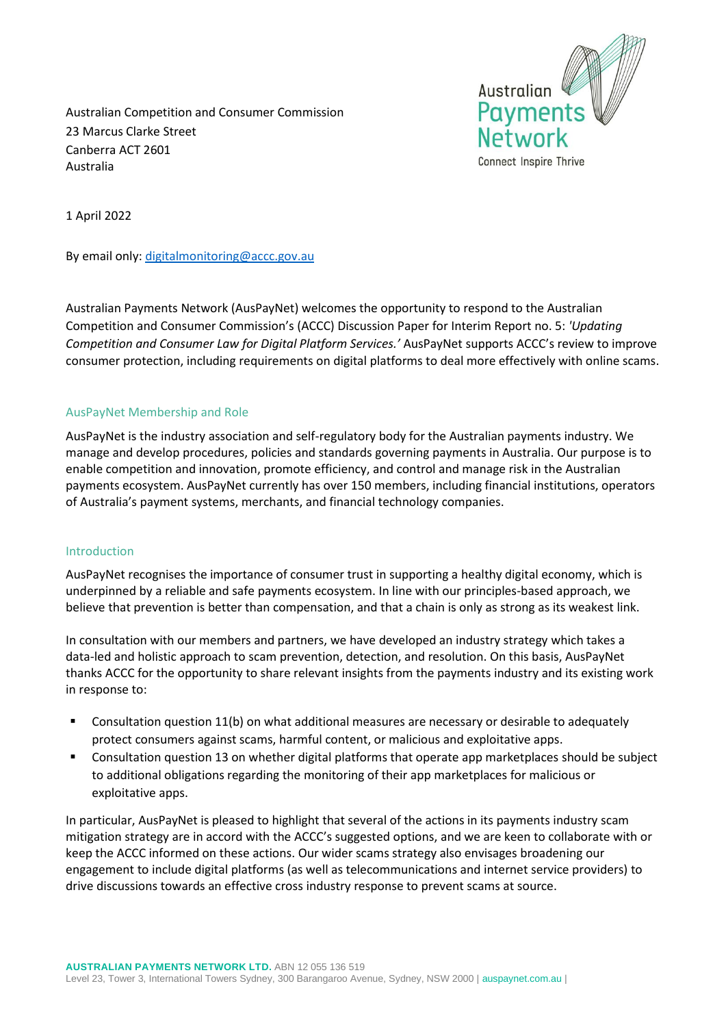Australian **Payments** Network Connect Inspire Thrive

Australian Competition and Consumer Commission 23 Marcus Clarke Street Canberra ACT 2601 Australia

1 April 2022

By email only: digitalmonitoring@accc.gov.au

Australian Payments Network (AusPayNet) welcomes the opportunity to respond to the Australian Competition and Consumer Commission's (ACCC) Discussion Paper for Interim Report no. 5: *'Updating Competition and Consumer Law for Digital Platform Services.'* AusPayNet supports ACCC's review to improve consumer protection, including requirements on digital platforms to deal more effectively with online scams.

### AusPayNet Membership and Role

AusPayNet is the industry association and self-regulatory body for the Australian payments industry. We manage and develop procedures, policies and standards governing payments in Australia. Our purpose is to enable competition and innovation, promote efficiency, and control and manage risk in the Australian payments ecosystem. AusPayNet currently has over 150 members, including financial institutions, operators of Australia's payment systems, merchants, and financial technology companies.

### Introduction

AusPayNet recognises the importance of consumer trust in supporting a healthy digital economy, which is underpinned by a reliable and safe payments ecosystem. In line with our principles-based approach, we believe that prevention is better than compensation, and that a chain is only as strong as its weakest link.

In consultation with our members and partners, we have developed an industry strategy which takes a data-led and holistic approach to scam prevention, detection, and resolution. On this basis, AusPayNet thanks ACCC for the opportunity to share relevant insights from the payments industry and its existing work in response to:

- Consultation question 11(b) on what additional measures are necessary or desirable to adequately protect consumers against scams, harmful content, or malicious and exploitative apps.
- Consultation question 13 on whether digital platforms that operate app marketplaces should be subject to additional obligations regarding the monitoring of their app marketplaces for malicious or exploitative apps.

In particular, AusPayNet is pleased to highlight that several of the actions in its payments industry scam mitigation strategy are in accord with the ACCC's suggested options, and we are keen to collaborate with or keep the ACCC informed on these actions. Our wider scams strategy also envisages broadening our engagement to include digital platforms (as well as telecommunications and internet service providers) to drive discussions towards an effective cross industry response to prevent scams at source.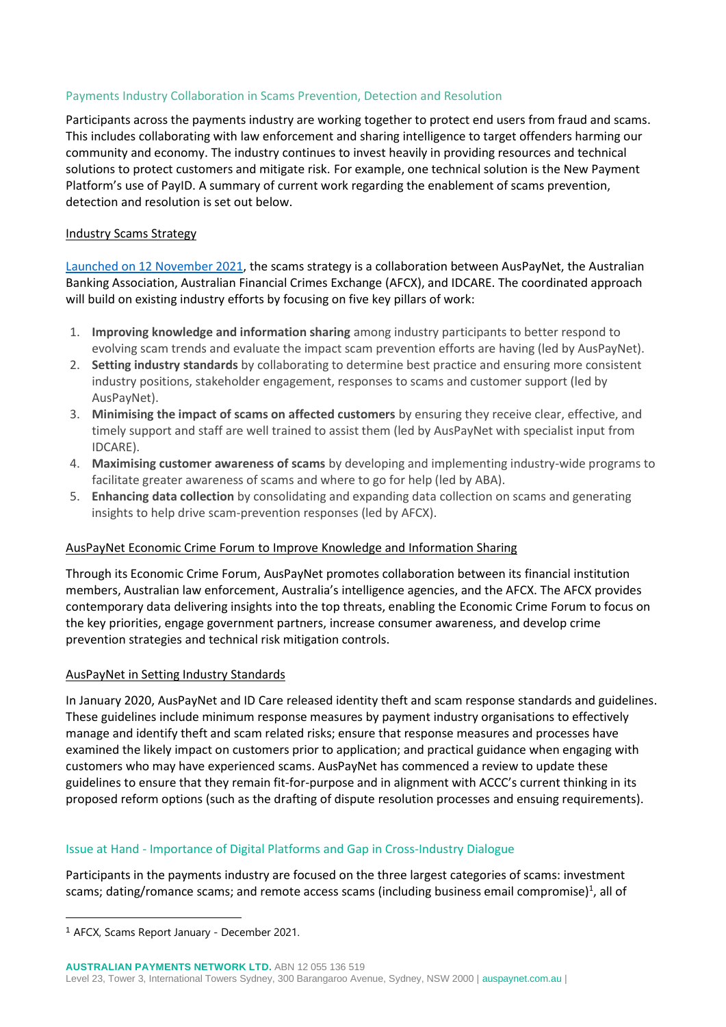# Payments Industry Collaboration in Scams Prevention, Detection and Resolution

Participants across the payments industry are working together to protect end users from fraud and scams. This includes collaborating with law enforcement and sharing intelligence to target offenders harming our community and economy. The industry continues to invest heavily in providing resources and technical solutions to protect customers and mitigate risk. For example, one technical solution is the New Payment Platform's use of PayID. A summary of current work regarding the enablement of scams prevention, detection and resolution is set out below.

## Industry Scams Strategy

Launched on 12 November 2021, the scams strategy is a collaboration between AusPayNet, the Australian Banking Association, Australian Financial Crimes Exchange (AFCX), and IDCARE. The coordinated approach will build on existing industry efforts by focusing on five key pillars of work:

- 1. **Improving knowledge and information sharing** among industry participants to better respond to evolving scam trends and evaluate the impact scam prevention efforts are having (led by AusPayNet).
- 2. **Setting industry standards** by collaborating to determine best practice and ensuring more consistent industry positions, stakeholder engagement, responses to scams and customer support (led by AusPayNet).
- 3. **Minimising the impact of scams on affected customers** by ensuring they receive clear, effective, and timely support and staff are well trained to assist them (led by AusPayNet with specialist input from IDCARE).
- 4. **Maximising customer awareness of scams** by developing and implementing industry-wide programs to facilitate greater awareness of scams and where to go for help (led by ABA).
- 5. **Enhancing data collection** by consolidating and expanding data collection on scams and generating insights to help drive scam-prevention responses (led by AFCX).

### AusPayNet Economic Crime Forum to Improve Knowledge and Information Sharing

Through its Economic Crime Forum, AusPayNet promotes collaboration between its financial institution members, Australian law enforcement, Australia's intelligence agencies, and the AFCX. The AFCX provides contemporary data delivering insights into the top threats, enabling the Economic Crime Forum to focus on the key priorities, engage government partners, increase consumer awareness, and develop crime prevention strategies and technical risk mitigation controls.

### AusPayNet in Setting Industry Standards

In January 2020, AusPayNet and ID Care released identity theft and scam response standards and guidelines. These guidelines include minimum response measures by payment industry organisations to effectively manage and identify theft and scam related risks; ensure that response measures and processes have examined the likely impact on customers prior to application; and practical guidance when engaging with customers who may have experienced scams. AusPayNet has commenced a review to update these guidelines to ensure that they remain fit-for-purpose and in alignment with ACCC's current thinking in its proposed reform options (such as the drafting of dispute resolution processes and ensuing requirements).

### Issue at Hand - Importance of Digital Platforms and Gap in Cross-Industry Dialogue

Participants in the payments industry are focused on the three largest categories of scams: investment scams; dating/romance scams; and remote access scams (including business email compromise)<sup>1</sup>, all of

<sup>1</sup> AFCX, Scams Report January - December 2021.